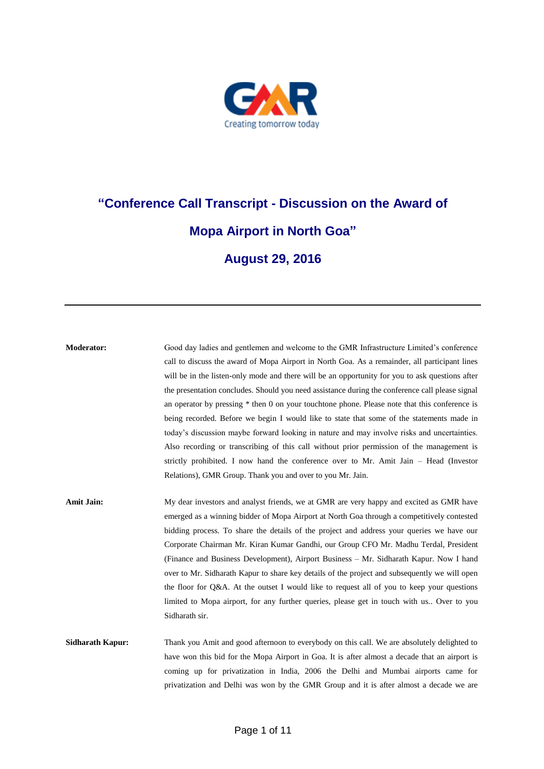

# **"Conference Call Transcript - Discussion on the Award of Mopa Airport in North Goa" August 29, 2016**

**Moderator:** Good day ladies and gentlemen and welcome to the GMR Infrastructure Limited's conference call to discuss the award of Mopa Airport in North Goa. As a remainder, all participant lines will be in the listen-only mode and there will be an opportunity for you to ask questions after the presentation concludes. Should you need assistance during the conference call please signal an operator by pressing \* then 0 on your touchtone phone. Please note that this conference is being recorded. Before we begin I would like to state that some of the statements made in today's discussion maybe forward looking in nature and may involve risks and uncertainties. Also recording or transcribing of this call without prior permission of the management is strictly prohibited. I now hand the conference over to Mr. Amit Jain – Head (Investor Relations), GMR Group. Thank you and over to you Mr. Jain.

Amit Jain: My dear investors and analyst friends, we at GMR are very happy and excited as GMR have emerged as a winning bidder of Mopa Airport at North Goa through a competitively contested bidding process. To share the details of the project and address your queries we have our Corporate Chairman Mr. Kiran Kumar Gandhi, our Group CFO Mr. Madhu Terdal, President (Finance and Business Development), Airport Business – Mr. Sidharath Kapur. Now I hand over to Mr. Sidharath Kapur to share key details of the project and subsequently we will open the floor for Q&A. At the outset I would like to request all of you to keep your questions limited to Mopa airport, for any further queries, please get in touch with us.. Over to you Sidharath sir.

**Sidharath Kapur:** Thank you Amit and good afternoon to everybody on this call. We are absolutely delighted to have won this bid for the Mopa Airport in Goa. It is after almost a decade that an airport is coming up for privatization in India, 2006 the Delhi and Mumbai airports came for privatization and Delhi was won by the GMR Group and it is after almost a decade we are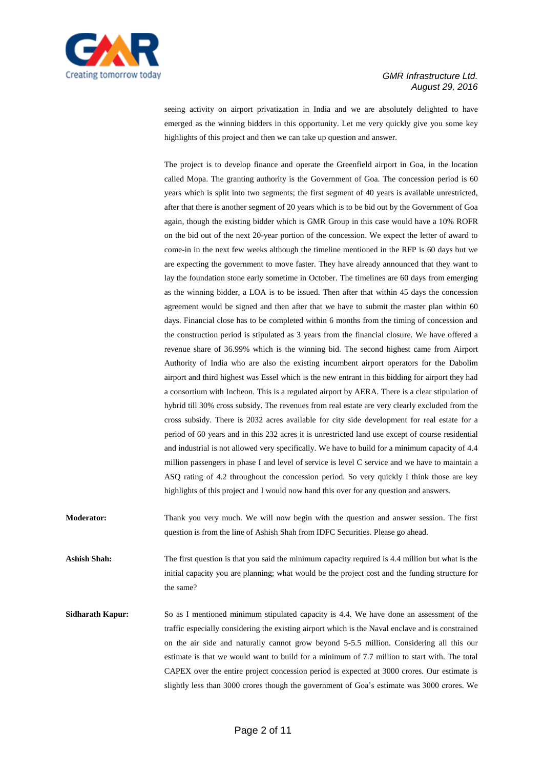

seeing activity on airport privatization in India and we are absolutely delighted to have emerged as the winning bidders in this opportunity. Let me very quickly give you some key highlights of this project and then we can take up question and answer.

The project is to develop finance and operate the Greenfield airport in Goa, in the location called Mopa. The granting authority is the Government of Goa. The concession period is 60 years which is split into two segments; the first segment of 40 years is available unrestricted, after that there is another segment of 20 years which is to be bid out by the Government of Goa again, though the existing bidder which is GMR Group in this case would have a 10% ROFR on the bid out of the next 20-year portion of the concession. We expect the letter of award to come-in in the next few weeks although the timeline mentioned in the RFP is 60 days but we are expecting the government to move faster. They have already announced that they want to lay the foundation stone early sometime in October. The timelines are 60 days from emerging as the winning bidder, a LOA is to be issued. Then after that within 45 days the concession agreement would be signed and then after that we have to submit the master plan within 60 days. Financial close has to be completed within 6 months from the timing of concession and the construction period is stipulated as 3 years from the financial closure. We have offered a revenue share of 36.99% which is the winning bid. The second highest came from Airport Authority of India who are also the existing incumbent airport operators for the Dabolim airport and third highest was Essel which is the new entrant in this bidding for airport they had a consortium with Incheon. This is a regulated airport by AERA. There is a clear stipulation of hybrid till 30% cross subsidy. The revenues from real estate are very clearly excluded from the cross subsidy. There is 2032 acres available for city side development for real estate for a period of 60 years and in this 232 acres it is unrestricted land use except of course residential and industrial is not allowed very specifically. We have to build for a minimum capacity of 4.4 million passengers in phase I and level of service is level C service and we have to maintain a ASQ rating of 4.2 throughout the concession period. So very quickly I think those are key highlights of this project and I would now hand this over for any question and answers.

**Moderator:** Thank you very much. We will now begin with the question and answer session. The first question is from the line of Ashish Shah from IDFC Securities. Please go ahead.

**Ashish Shah:** The first question is that you said the minimum capacity required is 4.4 million but what is the initial capacity you are planning; what would be the project cost and the funding structure for the same?

**Sidharath Kapur:** So as I mentioned minimum stipulated capacity is 4.4. We have done an assessment of the traffic especially considering the existing airport which is the Naval enclave and is constrained on the air side and naturally cannot grow beyond 5-5.5 million. Considering all this our estimate is that we would want to build for a minimum of 7.7 million to start with. The total CAPEX over the entire project concession period is expected at 3000 crores. Our estimate is slightly less than 3000 crores though the government of Goa's estimate was 3000 crores. We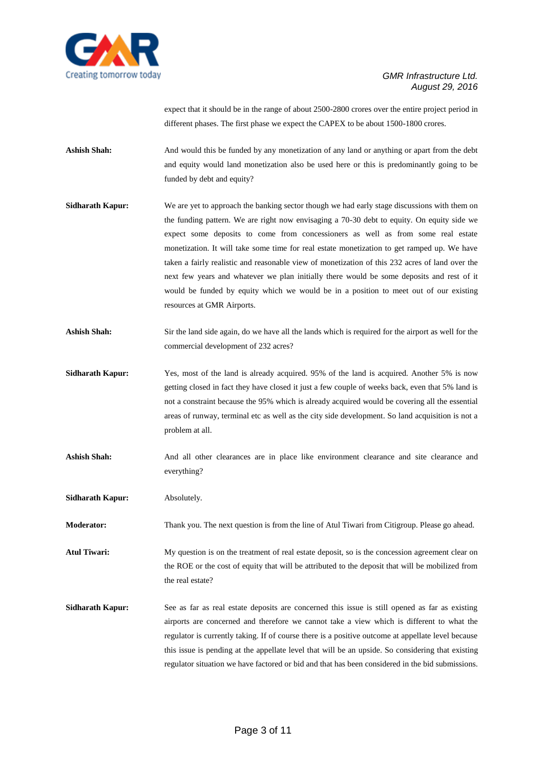

expect that it should be in the range of about 2500-2800 crores over the entire project period in different phases. The first phase we expect the CAPEX to be about 1500-1800 crores.

**Ashish Shah:** And would this be funded by any monetization of any land or anything or apart from the debt and equity would land monetization also be used here or this is predominantly going to be funded by debt and equity?

- **Sidharath Kapur:** We are yet to approach the banking sector though we had early stage discussions with them on the funding pattern. We are right now envisaging a 70-30 debt to equity. On equity side we expect some deposits to come from concessioners as well as from some real estate monetization. It will take some time for real estate monetization to get ramped up. We have taken a fairly realistic and reasonable view of monetization of this 232 acres of land over the next few years and whatever we plan initially there would be some deposits and rest of it would be funded by equity which we would be in a position to meet out of our existing resources at GMR Airports.
- **Ashish Shah:** Sir the land side again, do we have all the lands which is required for the airport as well for the commercial development of 232 acres?
- **Sidharath Kapur:** Yes, most of the land is already acquired. 95% of the land is acquired. Another 5% is now getting closed in fact they have closed it just a few couple of weeks back, even that 5% land is not a constraint because the 95% which is already acquired would be covering all the essential areas of runway, terminal etc as well as the city side development. So land acquisition is not a problem at all.
- Ashish Shah: And all other clearances are in place like environment clearance and site clearance and everything?
- **Sidharath Kapur:** Absolutely.

**Moderator:** Thank you. The next question is from the line of Atul Tiwari from Citigroup. Please go ahead.

Atul Tiwari: My question is on the treatment of real estate deposit, so is the concession agreement clear on the ROE or the cost of equity that will be attributed to the deposit that will be mobilized from the real estate?

**Sidharath <b>Kapur:** See as far as real estate deposits are concerned this issue is still opened as far as existing airports are concerned and therefore we cannot take a view which is different to what the regulator is currently taking. If of course there is a positive outcome at appellate level because this issue is pending at the appellate level that will be an upside. So considering that existing regulator situation we have factored or bid and that has been considered in the bid submissions.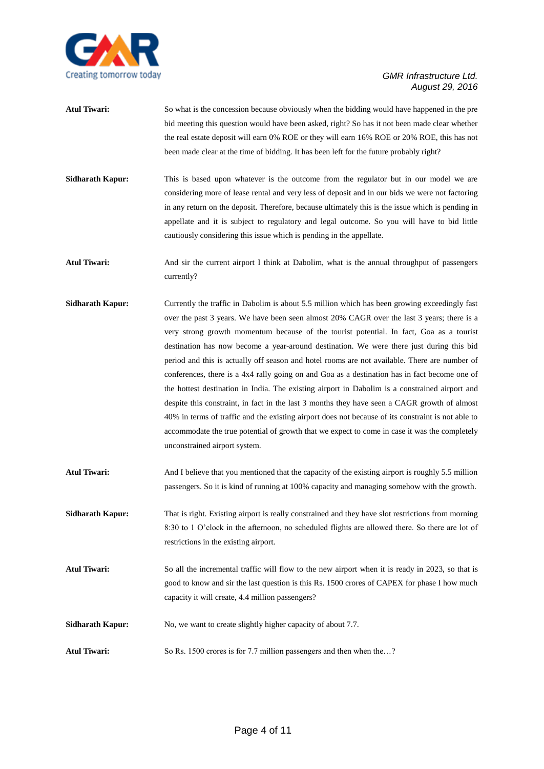

- **Atul Tiwari:** So what is the concession because obviously when the bidding would have happened in the pre bid meeting this question would have been asked, right? So has it not been made clear whether the real estate deposit will earn 0% ROE or they will earn 16% ROE or 20% ROE, this has not been made clear at the time of bidding. It has been left for the future probably right?
- **Sidharath Kapur:** This is based upon whatever is the outcome from the regulator but in our model we are considering more of lease rental and very less of deposit and in our bids we were not factoring in any return on the deposit. Therefore, because ultimately this is the issue which is pending in appellate and it is subject to regulatory and legal outcome. So you will have to bid little cautiously considering this issue which is pending in the appellate.
- **Atul Tiwari:** And sir the current airport I think at Dabolim, what is the annual throughput of passengers currently?
- **Sidharath Kapur:** Currently the traffic in Dabolim is about 5.5 million which has been growing exceedingly fast over the past 3 years. We have been seen almost 20% CAGR over the last 3 years; there is a very strong growth momentum because of the tourist potential. In fact, Goa as a tourist destination has now become a year-around destination. We were there just during this bid period and this is actually off season and hotel rooms are not available. There are number of conferences, there is a 4x4 rally going on and Goa as a destination has in fact become one of the hottest destination in India. The existing airport in Dabolim is a constrained airport and despite this constraint, in fact in the last 3 months they have seen a CAGR growth of almost 40% in terms of traffic and the existing airport does not because of its constraint is not able to accommodate the true potential of growth that we expect to come in case it was the completely unconstrained airport system.
- Atul Tiwari: And I believe that you mentioned that the capacity of the existing airport is roughly 5.5 million passengers. So it is kind of running at 100% capacity and managing somehow with the growth.
- **Sidharath Kapur:** That is right. Existing airport is really constrained and they have slot restrictions from morning 8:30 to 1 O'clock in the afternoon, no scheduled flights are allowed there. So there are lot of restrictions in the existing airport.
- **Atul Tiwari:** So all the incremental traffic will flow to the new airport when it is ready in 2023, so that is good to know and sir the last question is this Rs. 1500 crores of CAPEX for phase I how much capacity it will create, 4.4 million passengers?
- **Sidharath Kapur:** No, we want to create slightly higher capacity of about 7.7.
- Atul Tiwari: So Rs. 1500 crores is for 7.7 million passengers and then when the...?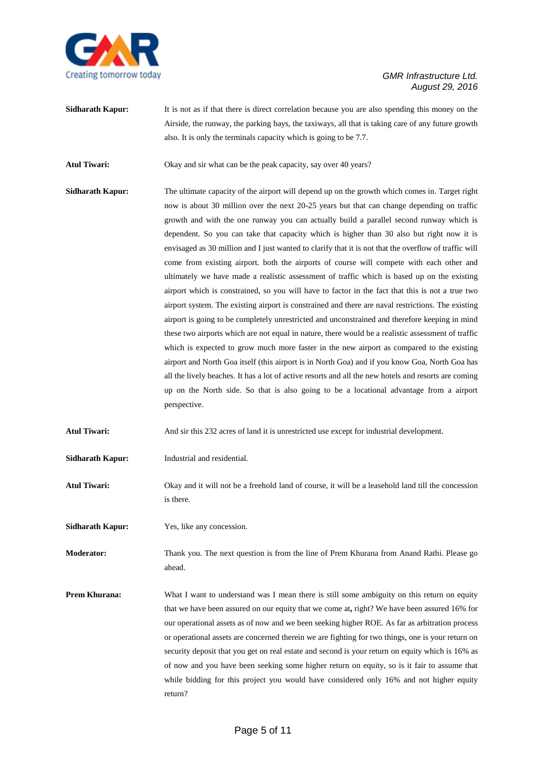

**Sidharath <b>Kapur:** It is not as if that there is direct correlation because you are also spending this money on the Airside, the runway, the parking bays, the taxiways, all that is taking care of any future growth also. It is only the terminals capacity which is going to be 7.7.

Atul Tiwari: Okay and sir what can be the peak capacity, say over 40 years?

**Sidharath Kapur:** The ultimate capacity of the airport will depend up on the growth which comes in. Target right now is about 30 million over the next 20-25 years but that can change depending on traffic growth and with the one runway you can actually build a parallel second runway which is dependent. So you can take that capacity which is higher than 30 also but right now it is envisaged as 30 million and I just wanted to clarify that it is not that the overflow of traffic will come from existing airport. both the airports of course will compete with each other and ultimately we have made a realistic assessment of traffic which is based up on the existing airport which is constrained, so you will have to factor in the fact that this is not a true two airport system. The existing airport is constrained and there are naval restrictions. The existing airport is going to be completely unrestricted and unconstrained and therefore keeping in mind these two airports which are not equal in nature, there would be a realistic assessment of traffic which is expected to grow much more faster in the new airport as compared to the existing airport and North Goa itself (this airport is in North Goa) and if you know Goa, North Goa has all the lively beaches. It has a lot of active resorts and all the new hotels and resorts are coming up on the North side. So that is also going to be a locational advantage from a airport perspective.

**Atul Tiwari:** And sir this 232 acres of land it is unrestricted use except for industrial development.

**Sidharath Kapur:** Industrial and residential.

**Atul Tiwari:** Okay and it will not be a freehold land of course, it will be a leasehold land till the concession is there.

**Sidharath Kapur:** Yes, like any concession.

**Moderator:** Thank you. The next question is from the line of Prem Khurana from Anand Rathi. Please go ahead.

**Prem Khurana:** What I want to understand was I mean there is still some ambiguity on this return on equity that we have been assured on our equity that we come at**,** right? We have been assured 16% for our operational assets as of now and we been seeking higher ROE. As far as arbitration process or operational assets are concerned therein we are fighting for two things, one is your return on security deposit that you get on real estate and second is your return on equity which is 16% as of now and you have been seeking some higher return on equity, so is it fair to assume that while bidding for this project you would have considered only 16% and not higher equity return?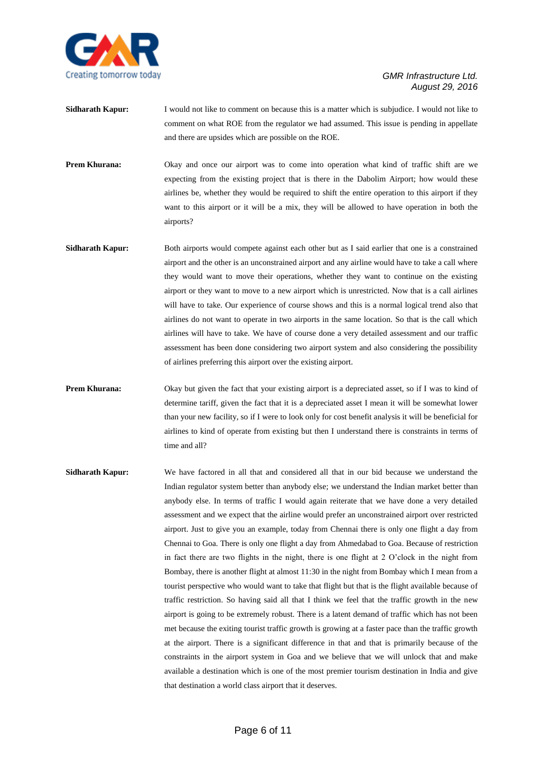

- **Sidharath Kapur:** I would not like to comment on because this is a matter which is subjudice. I would not like to comment on what ROE from the regulator we had assumed. This issue is pending in appellate and there are upsides which are possible on the ROE.
- **Prem Khurana:** Okay and once our airport was to come into operation what kind of traffic shift are we expecting from the existing project that is there in the Dabolim Airport; how would these airlines be, whether they would be required to shift the entire operation to this airport if they want to this airport or it will be a mix, they will be allowed to have operation in both the airports?
- **Sidharath Kapur:** Both airports would compete against each other but as I said earlier that one is a constrained airport and the other is an unconstrained airport and any airline would have to take a call where they would want to move their operations, whether they want to continue on the existing airport or they want to move to a new airport which is unrestricted. Now that is a call airlines will have to take. Our experience of course shows and this is a normal logical trend also that airlines do not want to operate in two airports in the same location. So that is the call which airlines will have to take. We have of course done a very detailed assessment and our traffic assessment has been done considering two airport system and also considering the possibility of airlines preferring this airport over the existing airport.
- **Prem Khurana:** Okay but given the fact that your existing airport is a depreciated asset, so if I was to kind of determine tariff, given the fact that it is a depreciated asset I mean it will be somewhat lower than your new facility, so if I were to look only for cost benefit analysis it will be beneficial for airlines to kind of operate from existing but then I understand there is constraints in terms of time and all?
- **Sidharath Kapur:** We have factored in all that and considered all that in our bid because we understand the Indian regulator system better than anybody else; we understand the Indian market better than anybody else. In terms of traffic I would again reiterate that we have done a very detailed assessment and we expect that the airline would prefer an unconstrained airport over restricted airport. Just to give you an example, today from Chennai there is only one flight a day from Chennai to Goa. There is only one flight a day from Ahmedabad to Goa. Because of restriction in fact there are two flights in the night, there is one flight at 2 O'clock in the night from Bombay, there is another flight at almost 11:30 in the night from Bombay which I mean from a tourist perspective who would want to take that flight but that is the flight available because of traffic restriction. So having said all that I think we feel that the traffic growth in the new airport is going to be extremely robust. There is a latent demand of traffic which has not been met because the exiting tourist traffic growth is growing at a faster pace than the traffic growth at the airport. There is a significant difference in that and that is primarily because of the constraints in the airport system in Goa and we believe that we will unlock that and make available a destination which is one of the most premier tourism destination in India and give that destination a world class airport that it deserves.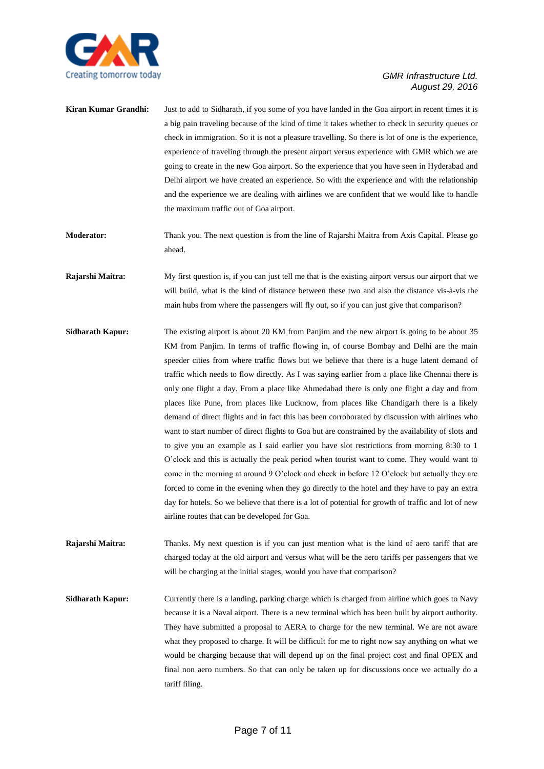

- **Kiran Kumar Grandhi:** Just to add to Sidharath, if you some of you have landed in the Goa airport in recent times it is a big pain traveling because of the kind of time it takes whether to check in security queues or check in immigration. So it is not a pleasure travelling. So there is lot of one is the experience, experience of traveling through the present airport versus experience with GMR which we are going to create in the new Goa airport. So the experience that you have seen in Hyderabad and Delhi airport we have created an experience. So with the experience and with the relationship and the experience we are dealing with airlines we are confident that we would like to handle the maximum traffic out of Goa airport.
- **Moderator:** Thank you. The next question is from the line of Rajarshi Maitra from Axis Capital. Please go ahead.
- **Rajarshi Maitra:** My first question is, if you can just tell me that is the existing airport versus our airport that we will build, what is the kind of distance between these two and also the distance vis-à-vis the main hubs from where the passengers will fly out, so if you can just give that comparison?
- **Sidharath Kapur:** The existing airport is about 20 KM from Panjim and the new airport is going to be about 35 KM from Panjim. In terms of traffic flowing in, of course Bombay and Delhi are the main speeder cities from where traffic flows but we believe that there is a huge latent demand of traffic which needs to flow directly. As I was saying earlier from a place like Chennai there is only one flight a day. From a place like Ahmedabad there is only one flight a day and from places like Pune, from places like Lucknow, from places like Chandigarh there is a likely demand of direct flights and in fact this has been corroborated by discussion with airlines who want to start number of direct flights to Goa but are constrained by the availability of slots and to give you an example as I said earlier you have slot restrictions from morning 8:30 to 1 O'clock and this is actually the peak period when tourist want to come. They would want to come in the morning at around 9 O'clock and check in before 12 O'clock but actually they are forced to come in the evening when they go directly to the hotel and they have to pay an extra day for hotels. So we believe that there is a lot of potential for growth of traffic and lot of new airline routes that can be developed for Goa.
- **Rajarshi Maitra:** Thanks. My next question is if you can just mention what is the kind of aero tariff that are charged today at the old airport and versus what will be the aero tariffs per passengers that we will be charging at the initial stages, would you have that comparison?
- **Sidharath <b>Kapur:** Currently there is a landing, parking charge which is charged from airline which goes to Navy because it is a Naval airport. There is a new terminal which has been built by airport authority. They have submitted a proposal to AERA to charge for the new terminal. We are not aware what they proposed to charge. It will be difficult for me to right now say anything on what we would be charging because that will depend up on the final project cost and final OPEX and final non aero numbers. So that can only be taken up for discussions once we actually do a tariff filing.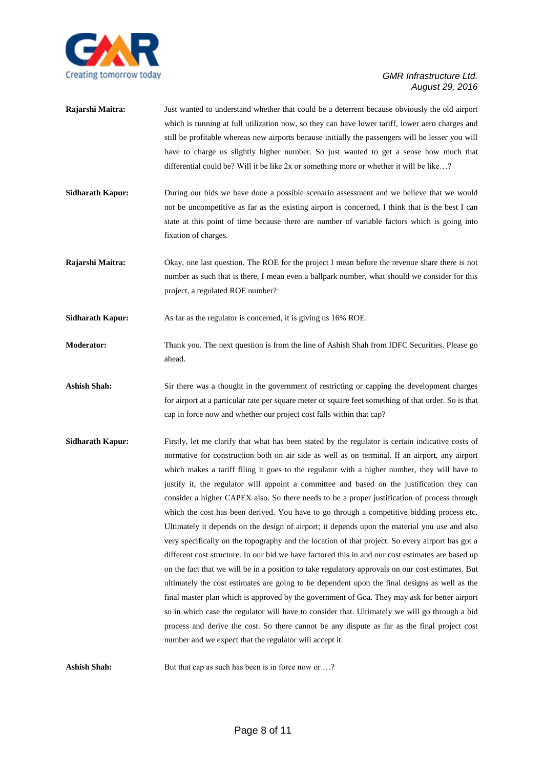

| Rajarshi Maitra:        | Just wanted to understand whether that could be a deterrent because obviously the old airport<br>which is running at full utilization now, so they can have lower tariff, lower aero charges and<br>still be profitable whereas new airports because initially the passengers will be lesser you will<br>have to charge us slightly higher number. So just wanted to get a sense how much that<br>differential could be? Will it be like $2x$ or something more or whether it will be like? |
|-------------------------|---------------------------------------------------------------------------------------------------------------------------------------------------------------------------------------------------------------------------------------------------------------------------------------------------------------------------------------------------------------------------------------------------------------------------------------------------------------------------------------------|
| <b>Sidharath Kapur:</b> | During our bids we have done a possible scenario assessment and we believe that we would<br>not be uncompetitive as far as the existing airport is concerned, I think that is the best I can<br>state at this point of time because there are number of variable factors which is going into<br>fixation of charges.                                                                                                                                                                        |
| Rajarshi Maitra:        | Okay, one last question. The ROE for the project I mean before the revenue share there is not<br>number as such that is there, I mean even a ballpark number, what should we consider for this<br>project, a regulated ROE number?                                                                                                                                                                                                                                                          |
| <b>Sidharath Kapur:</b> | As far as the regulator is concerned, it is giving us 16% ROE.                                                                                                                                                                                                                                                                                                                                                                                                                              |
| <b>Moderator:</b>       | Thank you. The next question is from the line of Ashish Shah from IDFC Securities. Please go<br>ahead.                                                                                                                                                                                                                                                                                                                                                                                      |
| <b>Ashish Shah:</b>     | Sir there was a thought in the government of restricting or capping the development charges<br>for airport at a particular rate per square meter or square feet something of that order. So is that<br>cap in force now and whether our project cost falls within that cap?                                                                                                                                                                                                                 |
| <b>Sidharath Kapur:</b> | Firstly, let me clarify that what has been stated by the regulator is certain indicative costs of<br>normative for construction both on air side as well as on terminal. If an airport, any airport                                                                                                                                                                                                                                                                                         |

which makes a tariff filing it goes to the regulator with a higher number, they will have to justify it, the regulator will appoint a committee and based on the justification they can consider a higher CAPEX also. So there needs to be a proper justification of process through which the cost has been derived. You have to go through a competitive bidding process etc. Ultimately it depends on the design of airport; it depends upon the material you use and also very specifically on the topography and the location of that project. So every airport has got a different cost structure. In our bid we have factored this in and our cost estimates are based up on the fact that we will be in a position to take regulatory approvals on our cost estimates. But ultimately the cost estimates are going to be dependent upon the final designs as well as the final master plan which is approved by the government of Goa. They may ask for better airport so in which case the regulator will have to consider that. Ultimately we will go through a bid process and derive the cost. So there cannot be any dispute as far as the final project cost number and we expect that the regulator will accept it.

**Ashish Shah:** But that cap as such has been is in force now or ...?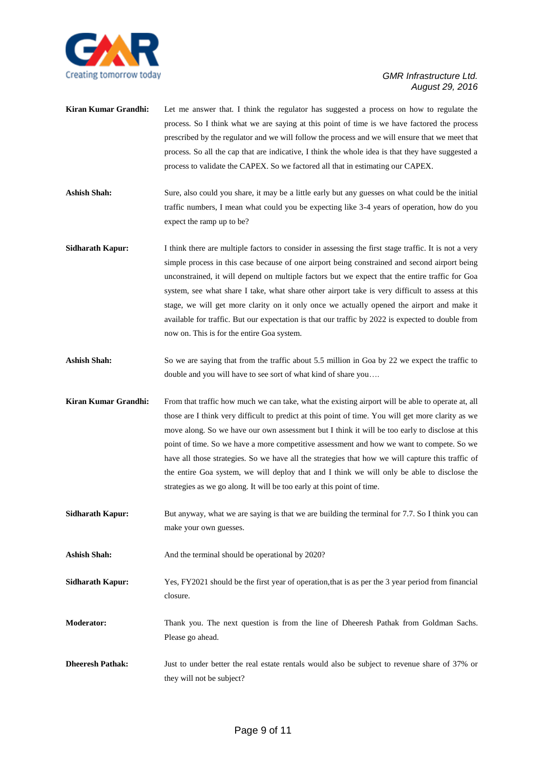

- **Kiran Kumar Grandhi:** Let me answer that. I think the regulator has suggested a process on how to regulate the process. So I think what we are saying at this point of time is we have factored the process prescribed by the regulator and we will follow the process and we will ensure that we meet that process. So all the cap that are indicative, I think the whole idea is that they have suggested a process to validate the CAPEX. So we factored all that in estimating our CAPEX.
- Ashish Shah: Sure, also could you share, it may be a little early but any guesses on what could be the initial traffic numbers, I mean what could you be expecting like 3-4 years of operation, how do you expect the ramp up to be?
- **Sidharath Kapur:** I think there are multiple factors to consider in assessing the first stage traffic. It is not a very simple process in this case because of one airport being constrained and second airport being unconstrained, it will depend on multiple factors but we expect that the entire traffic for Goa system, see what share I take, what share other airport take is very difficult to assess at this stage, we will get more clarity on it only once we actually opened the airport and make it available for traffic. But our expectation is that our traffic by 2022 is expected to double from now on. This is for the entire Goa system.
- Ashish Shah: So we are saying that from the traffic about 5.5 million in Goa by 22 we expect the traffic to double and you will have to see sort of what kind of share you….
- **Kiran Kumar Grandhi:** From that traffic how much we can take, what the existing airport will be able to operate at, all those are I think very difficult to predict at this point of time. You will get more clarity as we move along. So we have our own assessment but I think it will be too early to disclose at this point of time. So we have a more competitive assessment and how we want to compete. So we have all those strategies. So we have all the strategies that how we will capture this traffic of the entire Goa system, we will deploy that and I think we will only be able to disclose the strategies as we go along. It will be too early at this point of time.
- **Sidharath Kapur:** But anyway, what we are saying is that we are building the terminal for 7.7. So I think you can make your own guesses.
- Ashish Shah: And the terminal should be operational by 2020?

**Sidharath Kapur:** Yes, FY2021 should be the first year of operation,that is as per the 3 year period from financial closure.

- **Moderator:** Thank you. The next question is from the line of Dheeresh Pathak from Goldman Sachs. Please go ahead.
- **Dheeresh Pathak:** Just to under better the real estate rentals would also be subject to revenue share of 37% or they will not be subject?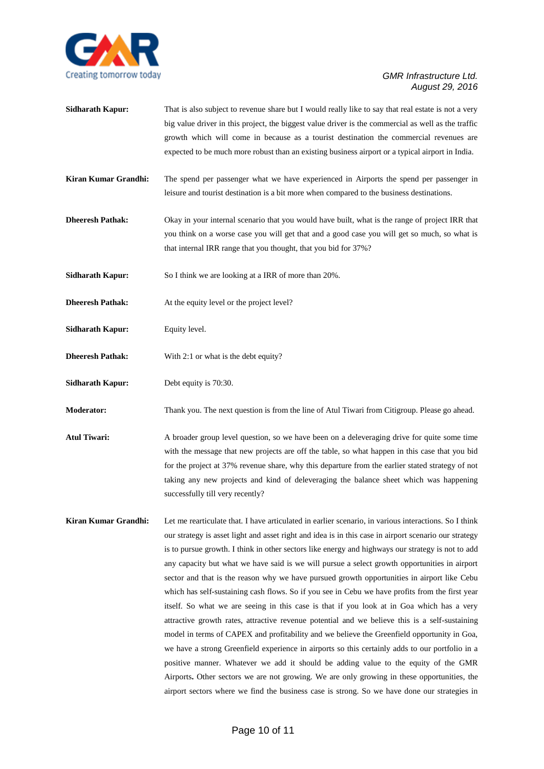

- **Sidharath <b>Kapur:** That is also subject to revenue share but I would really like to say that real estate is not a very big value driver in this project, the biggest value driver is the commercial as well as the traffic growth which will come in because as a tourist destination the commercial revenues are expected to be much more robust than an existing business airport or a typical airport in India.
- **Kiran Kumar Grandhi:** The spend per passenger what we have experienced in Airports the spend per passenger in leisure and tourist destination is a bit more when compared to the business destinations.
- **Dheeresh Pathak:** Okay in your internal scenario that you would have built, what is the range of project IRR that you think on a worse case you will get that and a good case you will get so much, so what is that internal IRR range that you thought, that you bid for 37%?
- **Sidharath Kapur:** So I think we are looking at a IRR of more than 20%.
- **Dheeresh Pathak:** At the equity level or the project level?
- **Sidharath Kapur:** Equity level.
- **Dheeresh Pathak:** With 2:1 or what is the debt equity?
- **Sidharath Kapur:** Debt equity is 70:30.

**Moderator:** Thank you. The next question is from the line of Atul Tiwari from Citigroup. Please go ahead.

- Atul Tiwari: A broader group level question, so we have been on a deleveraging drive for quite some time with the message that new projects are off the table, so what happen in this case that you bid for the project at 37% revenue share, why this departure from the earlier stated strategy of not taking any new projects and kind of deleveraging the balance sheet which was happening successfully till very recently?
- **Kiran Kumar Grandhi:** Let me rearticulate that. I have articulated in earlier scenario, in various interactions. So I think our strategy is asset light and asset right and idea is in this case in airport scenario our strategy is to pursue growth. I think in other sectors like energy and highways our strategy is not to add any capacity but what we have said is we will pursue a select growth opportunities in airport sector and that is the reason why we have pursued growth opportunities in airport like Cebu which has self-sustaining cash flows. So if you see in Cebu we have profits from the first year itself. So what we are seeing in this case is that if you look at in Goa which has a very attractive growth rates, attractive revenue potential and we believe this is a self-sustaining model in terms of CAPEX and profitability and we believe the Greenfield opportunity in Goa, we have a strong Greenfield experience in airports so this certainly adds to our portfolio in a positive manner. Whatever we add it should be adding value to the equity of the GMR Airports**.** Other sectors we are not growing. We are only growing in these opportunities, the airport sectors where we find the business case is strong. So we have done our strategies in